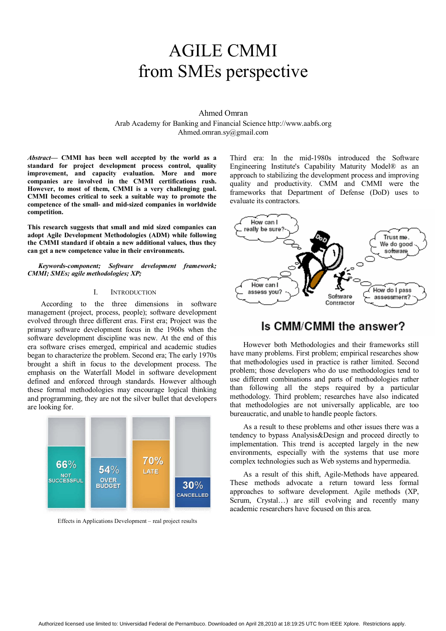# AGILE CMMI from SMEs perspective

## Ahmed Omran

Arab Academy for Banking and Financial Science http://www.aabfs.org Ahmed.omran.sy@gmail.com

*Abstract***— CMMI has been well accepted by the world as a standard for project development process control, quality improvement, and capacity evaluation. More and more companies are involved in the CMMI certifications rush. However, to most of them, CMMI is a very challenging goal. CMMI becomes critical to seek a suitable way to promote the competence of the small- and mid-sized companies in worldwide competition.** 

**This research suggests that small and mid sized companies can adopt Agile Development Methodologies (ADM) while following the CMMI standard if obtain a new additional values, thus they can get a new competence value in their environments.** 

## *Keywords-component; Software development framework; CMMI; SMEs; agile methodologies; XP;*

## I. INTRODUCTION

According to the three dimensions in software management (project, process, people); software development evolved through three different eras. First era; Project was the primary software development focus in the 1960s when the software development discipline was new. At the end of this era software crises emerged, empirical and academic studies began to characterize the problem. Second era; The early 1970s brought a shift in focus to the development process. The emphasis on the Waterfall Model in software development defined and enforced through standards. However although these formal methodologies may encourage logical thinking and programming, they are not the silver bullet that developers are looking for.



Effects in Applications Development – real project results

Third era: In the mid-1980s introduced the Software Engineering Institute's Capability Maturity Model® as an approach to stabilizing the development process and improving quality and productivity. CMM and CMMI were the frameworks that Department of Defense (DoD) uses to evaluate its contractors.



## Is CMM/CMMI the answer?

However both Methodologies and their frameworks still have many problems. First problem; empirical researches show that methodologies used in practice is rather limited. Second problem; those developers who do use methodologies tend to use different combinations and parts of methodologies rather than following all the steps required by a particular methodology. Third problem; researches have also indicated that methodologies are not universally applicable, are too bureaucratic, and unable to handle people factors.

As a result to these problems and other issues there was a tendency to bypass Analysis&Design and proceed directly to implementation. This trend is accepted largely in the new environments, especially with the systems that use more complex technologies such as Web systems and hypermedia.

As a result of this shift, Agile-Methods have appeared. These methods advocate a return toward less formal approaches to software development. Agile methods (XP, Scrum, Crystal…) are still evolving and recently many academic researchers have focused on this area.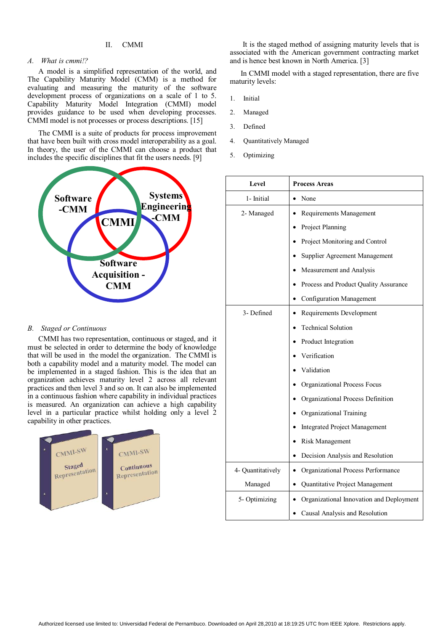## II. CMMI

## *A. What is cmmi!?*

A model is a simplified representation of the world, and The Capability Maturity Model (CMM) is a method for evaluating and measuring the maturity of the software development process of organizations on a scale of 1 to 5. Capability Maturity Model Integration (CMMI) model provides guidance to be used when developing processes. CMMI model is not processes or process descriptions. [15]

The CMMI is a suite of products for process improvement that have been built with cross model interoperability as a goal. In theory, the user of the CMMI can choose a product that includes the specific disciplines that fit the users needs. [9]



## *B. Staged or Continuous*

CMMI has two representation, continuous or staged, and it must be selected in order to determine the body of knowledge that will be used in the model the organization. The CMMI is both a capability model and a maturity model. The model can be implemented in a staged fashion. This is the idea that an organization achieves maturity level 2 across all relevant practices and then level 3 and so on. It can also be implemented in a continuous fashion where capability in individual practices is measured. An organization can achieve a high capability level in a particular practice whilst holding only a level 2 capability in other practices.



 It is the staged method of assigning maturity levels that is associated with the American government contracting market and is hence best known in North America. [3]

In CMMI model with a staged representation, there are five maturity levels:

- 1. Initial
- 2. Managed
- 3. Defined
- 4. Quantitatively Managed
- 5. Optimizing

| Level             | <b>Process Areas</b>                     |  |
|-------------------|------------------------------------------|--|
| 1- Initial        | None<br>$\bullet$                        |  |
| 2- Managed        | Requirements Management                  |  |
|                   | Project Planning                         |  |
|                   | Project Monitoring and Control           |  |
|                   | Supplier Agreement Management            |  |
|                   | Measurement and Analysis                 |  |
|                   | Process and Product Quality Assurance    |  |
|                   | <b>Configuration Management</b>          |  |
| 3- Defined        | Requirements Development                 |  |
|                   | <b>Technical Solution</b>                |  |
|                   | Product Integration                      |  |
|                   | Verification                             |  |
|                   | Validation                               |  |
|                   | Organizational Process Focus             |  |
|                   | Organizational Process Definition        |  |
|                   | Organizational Training                  |  |
|                   | <b>Integrated Project Management</b>     |  |
|                   | Risk Management                          |  |
|                   | Decision Analysis and Resolution         |  |
| 4- Quantitatively | Organizational Process Performance       |  |
| Managed           | Quantitative Project Management          |  |
| 5- Optimizing     | Organizational Innovation and Deployment |  |
|                   | Causal Analysis and Resolution           |  |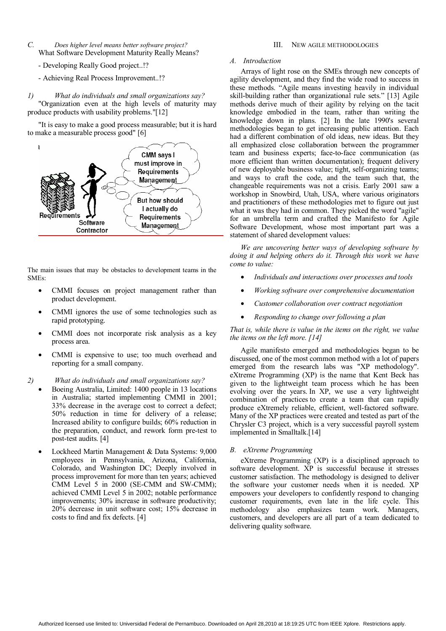- *C. Does higher level means better software project?*  What Software Development Maturity Really Means?
	- Developing Really Good project..!?
	- Achieving Real Process Improvement..!?

*1) What do individuals and small organizations say?*  "Organization even at the high levels of maturity may produce products with usability problems."[12]

"It is easy to make a good process measurable; but it is hard to make a measurable process good" [6]



The main issues that may be obstacles to development teams in the SMEs:

- CMMI focuses on project management rather than product development.
- CMMI ignores the use of some technologies such as rapid prototyping.
- CMMI does not incorporate risk analysis as a key process area.
- CMMI is expensive to use; too much overhead and reporting for a small company.
- *2) What do individuals and small organizations say?* 
	- Boeing Australia, Limited: 1400 people in 13 locations in Australia; started implementing CMMI in 2001; 33% decrease in the average cost to correct a defect; 50% reduction in time for delivery of a release; Increased ability to configure builds; 60% reduction in the preparation, conduct, and rework form pre-test to post-test audits. [4]
	- Lockheed Martin Management & Data Systems: 9,000 employees in Pennsylvania, Arizona, California, Colorado, and Washington DC; Deeply involved in process improvement for more than ten years; achieved CMM Level 5 in 2000 (SE-CMM and SW-CMM); achieved CMMI Level 5 in 2002; notable performance improvements; 30% increase in software productivity; 20% decrease in unit software cost; 15% decrease in costs to find and fix defects. [4]

## III. NEW AGILE METHODOLOGIES

## *A. Introduction*

Arrays of light rose on the SMEs through new concepts of agility development, and they find the wide road to success in these methods. "Agile means investing heavily in individual skill-building rather than organizational rule sets." [13] Agile methods derive much of their agility by relying on the tacit knowledge embodied in the team, rather than writing the knowledge down in plans. [2] In the late 1990's several methodologies began to get increasing public attention. Each had a different combination of old ideas, new ideas. But they all emphasized close collaboration between the programmer team and business experts; face-to-face communication (as more efficient than written documentation); frequent delivery of new deployable business value; tight, self-organizing teams; and ways to craft the code, and the team such that, the changeable requirements was not a crisis. Early 2001 saw a workshop in Snowbird, Utah, USA, where various originators and practitioners of these methodologies met to figure out just what it was they had in common. They picked the word "agile" for an umbrella term and crafted the Manifesto for Agile Software Development, whose most important part was a statement of shared development values:

*We are uncovering better ways of developing software by doing it and helping others do it. Through this work we have come to value:* 

- *Individuals and interactions over processes and tools*
- *Working software over comprehensive documentation*
- *Customer collaboration over contract negotiation*
- *Responding to change over following a plan*

*That is, while there is value in the items on the right, we value the items on the left more. [14]* 

Agile manifesto emerged and methodologies began to be discussed, one of the most common method with a lot of papers emerged from the research labs was "XP methodology". eXtreme Programming (XP) is the name that Kent Beck has given to the lightweight team process which he has been evolving over the years. In XP, we use a very lightweight combination of practices to create a team that can rapidly produce eXtremely reliable, efficient, well-factored software. Many of the XP practices were created and tested as part of the Chrysler C3 project, which is a very successful payroll system implemented in Smalltalk.[14]

## *B. eXtreme Programming*

eXtreme Programming (XP) is a disciplined approach to software development. XP is successful because it stresses customer satisfaction. The methodology is designed to deliver the software your customer needs when it is needed. XP empowers your developers to confidently respond to changing customer requirements, even late in the life cycle. This methodology also emphasizes team work. Managers, customers, and developers are all part of a team dedicated to delivering quality software.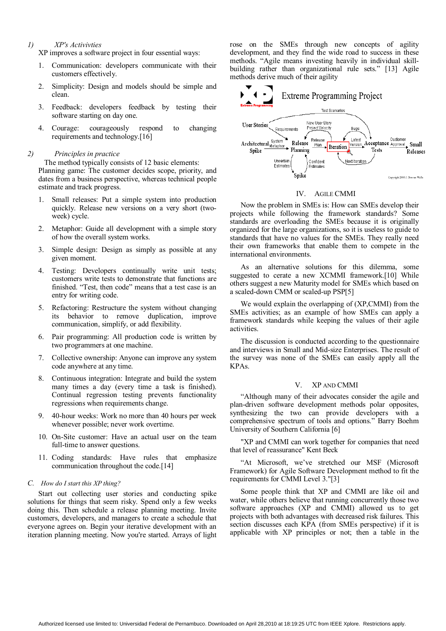## *1) XP's Activivties*

XP improves a software project in four essential ways:

- 1. Communication: developers communicate with their customers effectively.
- 2. Simplicity: Design and models should be simple and clean.
- 3. Feedback: developers feedback by testing their software starting on day one.
- 4. Courage: courageously respond to changing requirements and technology.[16]

## *2) Principles in practice*

The method typically consists of 12 basic elements:

Planning game: The customer decides scope, priority, and dates from a business perspective, whereas technical people estimate and track progress.

- 1. Small releases: Put a simple system into production quickly. Release new versions on a very short (twoweek) cycle.
- 2. Metaphor: Guide all development with a simple story of how the overall system works.
- 3. Simple design: Design as simply as possible at any given moment.
- 4. Testing: Developers continually write unit tests; customers write tests to demonstrate that functions are finished. "Test, then code" means that a test case is an entry for writing code.
- 5. Refactoring: Restructure the system without changing its behavior to remove duplication, improve communication, simplify, or add flexibility.
- 6. Pair programming: All production code is written by two programmers at one machine.
- 7. Collective ownership: Anyone can improve any system code anywhere at any time.
- 8. Continuous integration: Integrate and build the system many times a day (every time a task is finished). Continual regression testing prevents functionality regressions when requirements change.
- 9. 40-hour weeks: Work no more than 40 hours per week whenever possible; never work overtime.
- 10. On-Site customer: Have an actual user on the team full-time to answer questions.
- 11. Coding standards: Have rules that emphasize communication throughout the code.[14]

## *C. How do I start this XP thing?*

Start out collecting user stories and conducting spike solutions for things that seem risky. Spend only a few weeks doing this. Then schedule a release planning meeting. Invite customers, developers, and managers to create a schedule that everyone agrees on. Begin your iterative development with an iteration planning meeting. Now you're started. Arrays of light rose on the SMEs through new concepts of agility development, and they find the wide road to success in these methods. "Agile means investing heavily in individual skillbuilding rather than organizational rule sets." [13] Agile methods derive much of their agility



## IV. AGILE CMMI

Now the problem in SMEs is: How can SMEs develop their projects while following the framework standards? Some standards are overloading the SMEs because it is originally organized for the large organizations, so it is useless to guide to standards that have no values for the SMEs. They really need their own frameworks that enable them to compete in the international environments.

As an alternative solutions for this dilemma, some suggested to cerate a new XCMMI framework.[10] While others suggest a new Maturity model for SMEs which based on a scaled-down CMM or scaled-up PSP[5]

We would explain the overlapping of (XP,CMMI) from the SMEs activities; as an example of how SMEs can apply a framework standards while keeping the values of their agile activities.

The discussion is conducted according to the questionnaire and interviews in Small and Mid-size Enterprises. The result of the survey was none of the SMEs can easily apply all the KPAs.

## V. XP AND CMMI

"Although many of their advocates consider the agile and plan-driven software development methods polar opposites, synthesizing the two can provide developers with a comprehensive spectrum of tools and options." Barry Boehm University of Southern California [6]

"XP and CMMI can work together for companies that need that level of reassurance" Kent Beck

"At Microsoft, we've stretched our MSF (Microsoft Framework) for Agile Software Development method to fit the requirements for CMMI Level 3."[3]

Some people think that XP and CMMI are like oil and water, while others believe that running concurrently those two software approaches (XP and CMMI) allowed us to get projects with both advantages with decreased risk failures. This section discusses each KPA (from SMEs perspective) if it is applicable with XP principles or not; then a table in the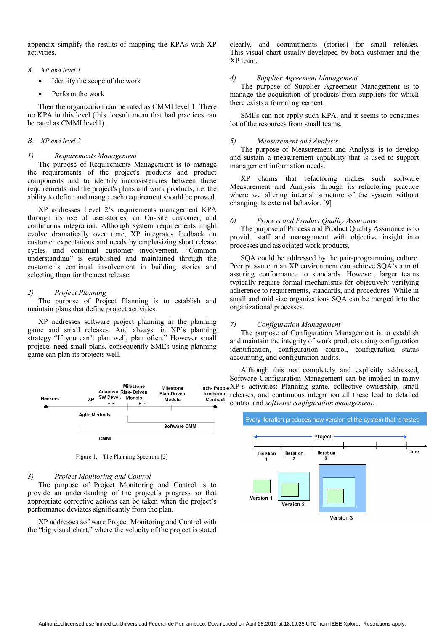appendix simplify the results of mapping the KPAs with XP activities.

## *A. XP and level 1*

- Identify the scope of the work
- Perform the work

Then the organization can be rated as CMMI level 1. There no KPA in this level (this doesn't mean that bad practices can be rated as CMMI level1).

## *B. XP and level 2*

## *1) Requirements Management*

The purpose of Requirements Management is to manage the requirements of the project's products and product components and to identify inconsistencies between those requirements and the project's plans and work products, i.e. the ability to define and mange each requirement should be proved.

XP addresses Level 2's requirements management KPA through its use of user-stories, an On-Site customer, and continuous integration. Although system requirements might evolve dramatically over time, XP integrates feedback on customer expectations and needs by emphasizing short release cycles and continual customer involvement. "Common understanding" is established and maintained through the customer's continual involvement in building stories and selecting them for the next release.

## *2) Project Planning*

The purpose of Project Planning is to establish and maintain plans that define project activities.

XP addresses software project planning in the planning game and small releases. And always: in XP's planning strategy "If you can't plan well, plan often." However small projects need small plans, consequently SMEs using planning game can plan its projects well.

Milestone **Milestone** Adaptive Risk-Driven **Plan-Driven** SW Devel. Models **Hackers** XF **Models** Contract **Agile Methods** Software CMM CMMI

Figure 1. The Planning Spectrum [2]

## *3) Project Monitoring and Control*

The purpose of Project Monitoring and Control is to provide an understanding of the project's progress so that appropriate corrective actions can be taken when the project's performance deviates significantly from the plan.

XP addresses software Project Monitoring and Control with the "big visual chart," where the velocity of the project is stated clearly, and commitments (stories) for small releases. This visual chart usually developed by both customer and the XP team.

## *4) Supplier Agreement Management*

The purpose of Supplier Agreement Management is to manage the acquisition of products from suppliers for which there exists a formal agreement.

SMEs can not apply such KPA, and it seems to consumes lot of the resources from small teams.

## *5) Measurement and Analysis*

The purpose of Measurement and Analysis is to develop and sustain a measurement capability that is used to support management information needs.

XP claims that refactoring makes such software Measurement and Analysis through its refactoring practice where we altering internal structure of the system without changing its external behavior. [9]

## *6) Process and Product Quality Assurance*

The purpose of Process and Product Quality Assurance is to provide staff and management with objective insight into processes and associated work products.

SQA could be addressed by the pair-programming culture. Peer pressure in an XP environment can achieve SQA's aim of assuring conformance to standards. However, larger teams typically require formal mechanisms for objectively verifying adherence to requirements, standards, and procedures. While in small and mid size organizations SQA can be merged into the organizational processes.

## *7) Configuration Management*

The purpose of Configuration Management is to establish and maintain the integrity of work products using configuration identification, configuration control, configuration status accounting, and configuration audits.

Although this not completely and explicitly addressed, Software Configuration Management can be implied in many XP's activities: Planning game, collective ownership, small releases, and continuous integration all these lead to detailed control and *software configuration management*.

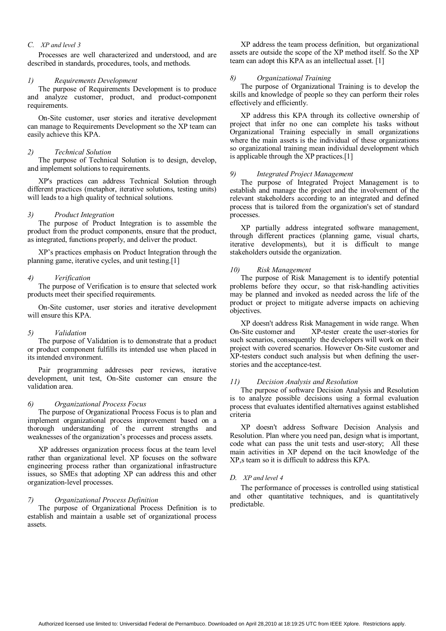## *C. XP and level 3*

Processes are well characterized and understood, and are described in standards, procedures, tools, and methods.

## *1) Requirements Development*

The purpose of Requirements Development is to produce and analyze customer, product, and product-component requirements.

On-Site customer, user stories and iterative development can manage to Requirements Development so the XP team can easily achieve this KPA.

## *2) Technical Solution*

The purpose of Technical Solution is to design, develop, and implement solutions to requirements.

XP's practices can address Technical Solution through different practices (metaphor, iterative solutions, testing units) will leads to a high quality of technical solutions.

## *3) Product Integration*

The purpose of Product Integration is to assemble the product from the product components, ensure that the product, as integrated, functions properly, and deliver the product.

XP's practices emphasis on Product Integration through the planning game, iterative cycles, and unit testing.[1]

## *4) Verification*

The purpose of Verification is to ensure that selected work products meet their specified requirements.

On-Site customer, user stories and iterative development will ensure this KPA.

## *5) Validation*

The purpose of Validation is to demonstrate that a product or product component fulfills its intended use when placed in its intended environment.

Pair programming addresses peer reviews, iterative development, unit test, On-Site customer can ensure the validation area.

## *6) Organizational Process Focus*

The purpose of Organizational Process Focus is to plan and implement organizational process improvement based on a thorough understanding of the current strengths and weaknesses of the organization's processes and process assets.

XP addresses organization process focus at the team level rather than organizational level. XP focuses on the software engineering process rather than organizational infrastructure issues, so SMEs that adopting XP can address this and other organization-level processes.

## *7) Organizational Process Definition*

The purpose of Organizational Process Definition is to establish and maintain a usable set of organizational process assets.

XP address the team process definition, but organizational assets are outside the scope of the XP method itself. So the XP team can adopt this KPA as an intellectual asset. [1]

## *8) Organizational Training*

The purpose of Organizational Training is to develop the skills and knowledge of people so they can perform their roles effectively and efficiently.

XP address this KPA through its collective ownership of project that infer no one can complete his tasks without Organizational Training especially in small organizations where the main assets is the individual of these organizations so organizational training mean individual development which is applicable through the XP practices.[1]

## *9) Integrated Project Management*

The purpose of Integrated Project Management is to establish and manage the project and the involvement of the relevant stakeholders according to an integrated and defined process that is tailored from the organization's set of standard processes.

XP partially address integrated software management, through different practices (planning game, visual charts, iterative developments), but it is difficult to mange stakeholders outside the organization.

## *10) Risk Management*

The purpose of Risk Management is to identify potential problems before they occur, so that risk-handling activities may be planned and invoked as needed across the life of the product or project to mitigate adverse impacts on achieving objectives.

XP doesn't address Risk Management in wide range. When On-Site customer and XP-tester create the user-stories for such scenarios, consequently the developers will work on their project with covered scenarios. However On-Site customer and XP-testers conduct such analysis but when defining the userstories and the acceptance-test.

## *11) Decision Analysis and Resolution*

The purpose of software Decision Analysis and Resolution is to analyze possible decisions using a formal evaluation process that evaluates identified alternatives against established criteria

XP doesn't address Software Decision Analysis and Resolution. Plan where you need pan, design what is important, code what can pass the unit tests and user-story; All these main activities in XP depend on the tacit knowledge of the XP,s team so it is difficult to address this KPA.

## *D. XP and level 4*

The performance of processes is controlled using statistical and other quantitative techniques, and is quantitatively predictable.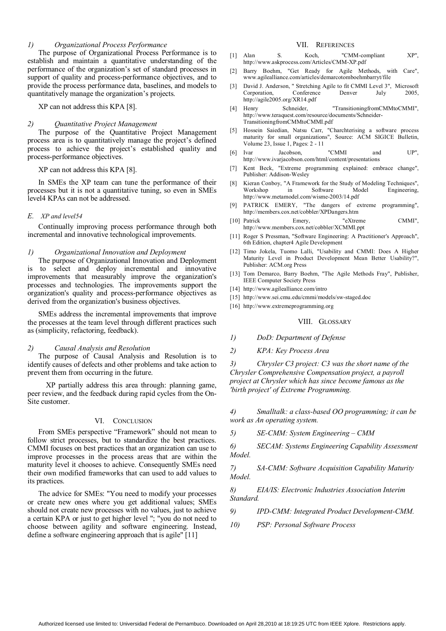## *1) Organizational Process Performance*

The purpose of Organizational Process Performance is to establish and maintain a quantitative understanding of the performance of the organization's set of standard processes in support of quality and process-performance objectives, and to provide the process performance data, baselines, and models to quantitatively manage the organization's projects.

XP can not address this KPA [8].

#### *2) Quantitative Project Management*

The purpose of the Quantitative Project Management process area is to quantitatively manage the project's defined process to achieve the project's established quality and process-performance objectives.

XP can not address this KPA [8].

In SMEs the XP team can tune the performance of their processes but it is not a quantitative tuning, so even in SMEs level4 KPAs can not be addressed.

## *E. XP and level54*

Continually improving process performance through both incremental and innovative technological improvements.

## *1) Organizational Innovation and Deployment*

The purpose of Organizational Innovation and Deployment is to select and deploy incremental and innovative improvements that measurably improve the organization's processes and technologies. The improvements support the organization's quality and process-performance objectives as derived from the organization's business objectives.

SMEs address the incremental improvements that improve the processes at the team level through different practices such as (simplicity, refactoring, feedback).

#### *2) Causal Analysis and Resolution*

The purpose of Causal Analysis and Resolution is to identify causes of defects and other problems and take action to prevent them from occurring in the future.

 XP partially address this area through: planning game, peer review, and the feedback during rapid cycles from the On-Site customer.

## VI. CONCLUSION

From SMEs perspective "Framework" should not mean to follow strict processes, but to standardize the best practices. CMMI focuses on best practices that an organization can use to improve processes in the process areas that are within the maturity level it chooses to achieve. Consequently SMEs need their own modified frameworks that can used to add values to its practices.

The advice for SMEs: "You need to modify your processes or create new ones where you get additional values; SMEs should not create new processes with no values, just to achieve a certain KPA or just to get higher level "; "you do not need to choose between agility and software engineering. Instead, define a software engineering approach that is agile" [11]

#### VII. REFERENCES

- [1] Alan S. Koch, "CMM-compliant XP", http://www.askprocess.com/Articles/CMM-XP.pdf
- [2] Barry Boehm, "Get Ready for Agile Methods, with Care", www.agilealliance.com/articles/demarcotomboehmbarryt/file
- [3] David J. Anderson, " Stretching Agile to fit CMMI Level 3", Microsoft Corporation, Conference Denver July 2005, http://agile2005.org/XR14.pdf
- [4] Henry Schneider, "TransitioningfromCMMtoCMMI", http://www.teraquest.com/resource/documents/Schneider-TransitioningfromCMMtoCMMI.pdf
- [5] Hossein Saiedian, Natsu Carr, "Charchterising a software process maturity for small organizations", Source: ACM SIGICE Bulletin, Volume 23, Issue 1, Pages: 2 - 11
- [6] Ivar Jacobson, "CMMI and UP", http://www.ivarjacobson.com/html/content/presentations
- [7] Kent Beck, "Extreme programming explained: embrace change", Publisher: Addison-Wesley
- [8] Kieran Conboy, "A Framework for the Study of Modeling Techniques", Workshop in Software Model Engineering, http://www.metamodel.com/wisme-2003/14.pdf
- PATRICK EMERY, "The dangers of extreme programming", http://members.cox.net/cobbler/XPDangers.htm
- [10] Patrick Emery, "eXtreme CMMI", http://www.members.cox.net/cobbler/XCMMI.ppt
- [11] Roger S Pressman, "Software Engineering: A Practitioner's Approach", 6th Edition, chapter4 Agile Development
- [12] Timo Jokela, Tuomo Lalli, "Usability and CMMI: Does A Higher Maturity Level in Product Development Mean Better Usability?", Publisher: ACM.org Press
- [13] Tom Demarco, Barry Boehm, "The Agile Methods Fray", Publisher, IEEE Computer Society Press
- [14] http://www.agilealliance.com/intro
- [15] http://www.sei.cmu.edu/cmmi/models/sw-staged.doc
- [16] http://www.extremeprogramming.org

#### VIII. GLOSSARY

- *1) DoD: Department of Defense*
- *2) KPA: Key Process Area*

*3) Chrysler C3 project: C3 was the short name of the Chrysler Comprehensive Compensation project, a payroll project at Chrysler which has since become famous as the 'birth project' of Extreme Programming.* 

*4) Smalltalk: a class-based OO programming; it can be work as An operating system.* 

*5) SE-CMM: System Engineering – CMM* 

*6) SECAM: Systems Engineering Capability Assessment Model.* 

*7) SA-CMM: Software Acquisition Capability Maturity Model.* 

*8) EIA/IS: Electronic Industries Association Interim Standard.* 

*9) IPD-CMM: Integrated Product Development-CMM.* 

*10) PSP: Personal Software Process*